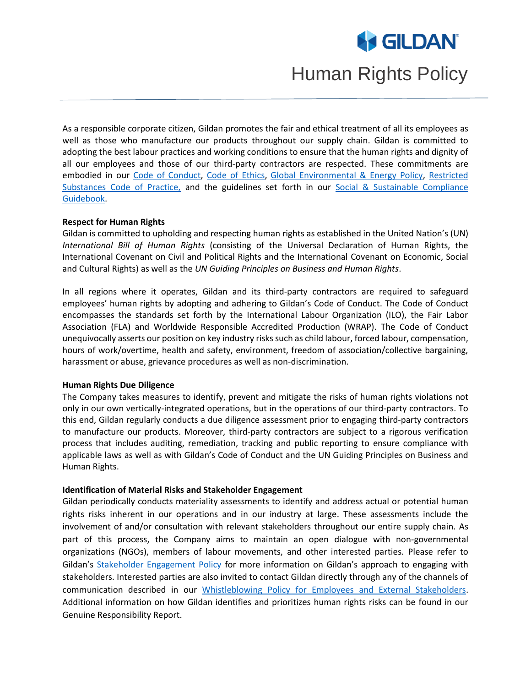

# Human Rights Policy

As a responsible corporate citizen, Gildan promotes the fair and ethical treatment of all its employees as well as those who manufacture our products throughout our supply chain. Gildan is committed to adopting the best labour practices and working conditions to ensure that the human rights and dignity of all our employees and those of our third-party contractors are respected. These commitments are embodied in our [Code of Conduct,](https://www.genuineresponsibility.com/media/uploads/blocks/Codes/code_of_conduct_poster_en_130818.pdf) [Code of Ethics,](https://www.genuineresponsibility.com/media/uploads/blocks/Codes/code_of_ethics_-_eng_for_website_Ta0sbgb.pdf) [Global Environmental & Energy Policy,](https://www.genuineresponsibility.com/media/uploads/policies/global_environment_and_energy_policy.pdf) [Restricted](https://www.genuineresponsibility.com/media/uploads/blocks/Codes/cor_mag_004_-_gildans_sl_-_substances_list_rev.0_eng.pdf)  [Substances Code of Practice,](https://www.genuineresponsibility.com/media/uploads/blocks/Codes/cor_mag_004_-_gildans_sl_-_substances_list_rev.0_eng.pdf) and the guidelines set forth in our [Social & Sustainable Compliance](https://www.genuineresponsibility.com/media/uploads/policies/social_and_sustainable_compliance_guidebook_2019.pdf)  [Guidebook.](https://www.genuineresponsibility.com/media/uploads/policies/social_and_sustainable_compliance_guidebook_2019.pdf)

#### **Respect for Human Rights**

Gildan is committed to upholding and respecting human rights as established in the United Nation's (UN) *International Bill of Human Rights* (consisting of the Universal Declaration of Human Rights, the International Covenant on Civil and Political Rights and the International Covenant on Economic, Social and Cultural Rights) as well as the *UN Guiding Principles on Business and Human Rights*.

In all regions where it operates, Gildan and its third-party contractors are required to safeguard employees' human rights by adopting and adhering to Gildan's Code of Conduct. The Code of Conduct encompasses the standards set forth by the International Labour Organization (ILO), the Fair Labor Association (FLA) and Worldwide Responsible Accredited Production (WRAP). The Code of Conduct unequivocally asserts our position on key industry riskssuch as child labour, forced labour, compensation, hours of work/overtime, health and safety, environment, freedom of association/collective bargaining, harassment or abuse, grievance procedures as well as non-discrimination.

#### **Human Rights Due Diligence**

The Company takes measures to identify, prevent and mitigate the risks of human rights violations not only in our own vertically-integrated operations, but in the operations of our third-party contractors. To this end, Gildan regularly conducts a due diligence assessment prior to engaging third-party contractors to manufacture our products. Moreover, third-party contractors are subject to a rigorous verification process that includes auditing, remediation, tracking and public reporting to ensure compliance with applicable laws as well as with Gildan's Code of Conduct and the UN Guiding Principles on Business and Human Rights.

#### **Identification of Material Risks and Stakeholder Engagement**

Gildan periodically conducts materiality assessments to identify and address actual or potential human rights risks inherent in our operations and in our industry at large. These assessments include the involvement of and/or consultation with relevant stakeholders throughout our entire supply chain. As part of this process, the Company aims to maintain an open dialogue with non-governmental organizations (NGOs), members of labour movements, and other interested parties. Please refer to Gildan's [Stakeholder Engagement Policy](https://www.genuineresponsibility.com/media/uploads/policies/stakeholder_engagement_policy.pdf) for more information on Gildan's approach to engaging with stakeholders. Interested parties are also invited to contact Gildan directly through any of the channels of communication described in our [Whistleblowing Policy for Employees and External Stakeholders.](https://secure.ethicspoint.eu/domain/media/en/gui/100213/index.html) Additional information on how Gildan identifies and prioritizes human rights risks can be found in our Genuine Responsibility Report.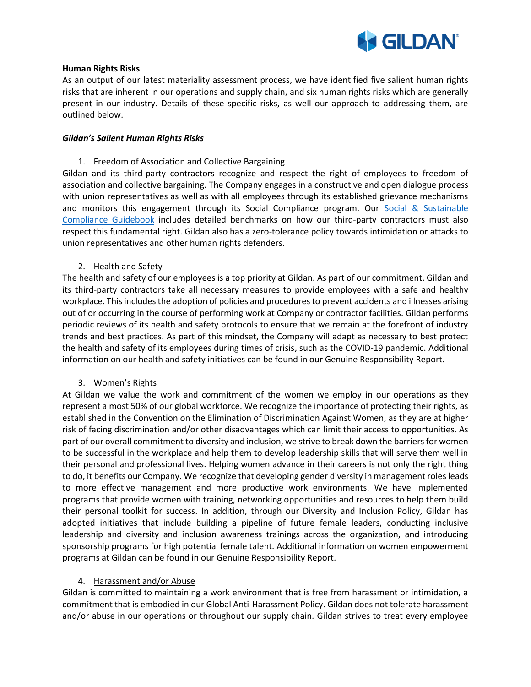

#### **Human Rights Risks**

As an output of our latest materiality assessment process, we have identified five salient human rights risks that are inherent in our operations and supply chain, and six human rights risks which are generally present in our industry. Details of these specific risks, as well our approach to addressing them, are outlined below.

#### *Gildan's Salient Human Rights Risks*

1. Freedom of Association and Collective Bargaining

Gildan and its third-party contractors recognize and respect the right of employees to freedom of association and collective bargaining. The Company engages in a constructive and open dialogue process with union representatives as well as with all employees through its established grievance mechanisms and monitors this engagement through its Social Compliance program. Our Social & Sustainable [Compliance Guidebook](https://www.genuineresponsibility.com/media/uploads/policies/social_and_sustainable_compliance_guidebook_2019.pdf) includes detailed benchmarks on how our third-party contractors must also respect this fundamental right. Gildan also has a zero-tolerance policy towards intimidation or attacks to union representatives and other human rights defenders.

## 2. Health and Safety

The health and safety of our employees is a top priority at Gildan. As part of our commitment, Gildan and its third-party contractors take all necessary measures to provide employees with a safe and healthy workplace. This includes the adoption of policies and proceduresto prevent accidents and illnesses arising out of or occurring in the course of performing work at Company or contractor facilities. Gildan performs periodic reviews of its health and safety protocols to ensure that we remain at the forefront of industry trends and best practices. As part of this mindset, the Company will adapt as necessary to best protect the health and safety of its employees during times of crisis, such as the COVID-19 pandemic. Additional information on our health and safety initiatives can be found in our Genuine Responsibility Report.

## 3. Women's Rights

At Gildan we value the work and commitment of the women we employ in our operations as they represent almost 50% of our global workforce. We recognize the importance of protecting their rights, as established in the Convention on the Elimination of Discrimination Against Women, as they are at higher risk of facing discrimination and/or other disadvantages which can limit their access to opportunities. As part of our overall commitment to diversity and inclusion, we strive to break down the barriers for women to be successful in the workplace and help them to develop leadership skills that will serve them well in their personal and professional lives. Helping women advance in their careers is not only the right thing to do, it benefits our Company. We recognize that developing gender diversity in management roles leads to more effective management and more productive work environments. We have implemented programs that provide women with training, networking opportunities and resources to help them build their personal toolkit for success. In addition, through our Diversity and Inclusion Policy, Gildan has adopted initiatives that include building a pipeline of future female leaders, conducting inclusive leadership and diversity and inclusion awareness trainings across the organization, and introducing sponsorship programs for high potential female talent. Additional information on women empowerment programs at Gildan can be found in our Genuine Responsibility Report.

## 4. Harassment and/or Abuse

Gildan is committed to maintaining a work environment that is free from harassment or intimidation, a commitment that is embodied in our Global Anti-Harassment Policy. Gildan does not tolerate harassment and/or abuse in our operations or throughout our supply chain. Gildan strives to treat every employee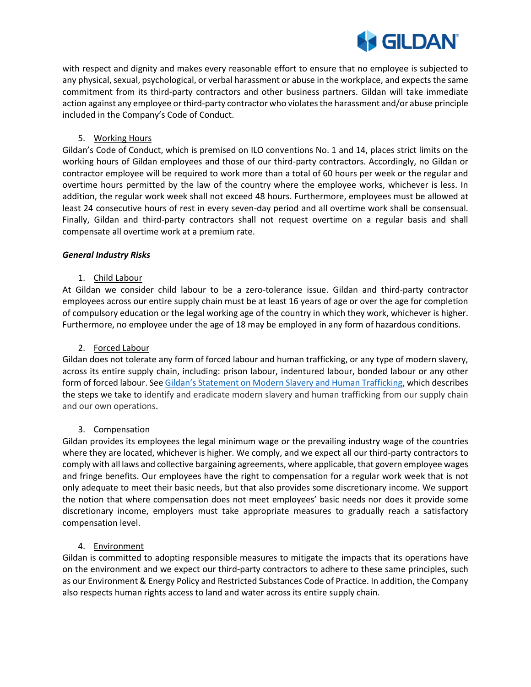

with respect and dignity and makes every reasonable effort to ensure that no employee is subjected to any physical, sexual, psychological, or verbal harassment or abuse in the workplace, and expects the same commitment from its third-party contractors and other business partners. Gildan will take immediate action against any employee or third-party contractor who violates the harassment and/or abuse principle included in the Company's Code of Conduct.

## 5. Working Hours

Gildan's Code of Conduct, which is premised on ILO conventions No. 1 and 14, places strict limits on the working hours of Gildan employees and those of our third-party contractors. Accordingly, no Gildan or contractor employee will be required to work more than a total of 60 hours per week or the regular and overtime hours permitted by the law of the country where the employee works, whichever is less. In addition, the regular work week shall not exceed 48 hours. Furthermore, employees must be allowed at least 24 consecutive hours of rest in every seven-day period and all overtime work shall be consensual. Finally, Gildan and third-party contractors shall not request overtime on a regular basis and shall compensate all overtime work at a premium rate.

## *General Industry Risks*

## 1. Child Labour

At Gildan we consider child labour to be a zero-tolerance issue. Gildan and third-party contractor employees across our entire supply chain must be at least 16 years of age or over the age for completion of compulsory education or the legal working age of the country in which they work, whichever is higher. Furthermore, no employee under the age of 18 may be employed in any form of hazardous conditions.

# 2. Forced Labour

Gildan does not tolerate any form of forced labour and human trafficking, or any type of modern slavery, across its entire supply chain, including: prison labour, indentured labour, bonded labour or any other form of forced labour. See [Gildan's Statement on Modern Slavery and Human Trafficking](https://gildancorp.com/en/responsibility/modern-slavery-act-transparency-statement/), which describes the steps we take to identify and eradicate modern slavery and human trafficking from our supply chain and our own operations.

## 3. Compensation

Gildan provides its employees the legal minimum wage or the prevailing industry wage of the countries where they are located, whichever is higher. We comply, and we expect all our third-party contractors to comply with all laws and collective bargaining agreements, where applicable, that govern employee wages and fringe benefits. Our employees have the right to compensation for a regular work week that is not only adequate to meet their basic needs, but that also provides some discretionary income. We support the notion that where compensation does not meet employees' basic needs nor does it provide some discretionary income, employers must take appropriate measures to gradually reach a satisfactory compensation level.

## 4. Environment

Gildan is committed to adopting responsible measures to mitigate the impacts that its operations have on the environment and we expect our third-party contractors to adhere to these same principles, such as our Environment & Energy Policy and Restricted Substances Code of Practice. In addition, the Company also respects human rights access to land and water across its entire supply chain.